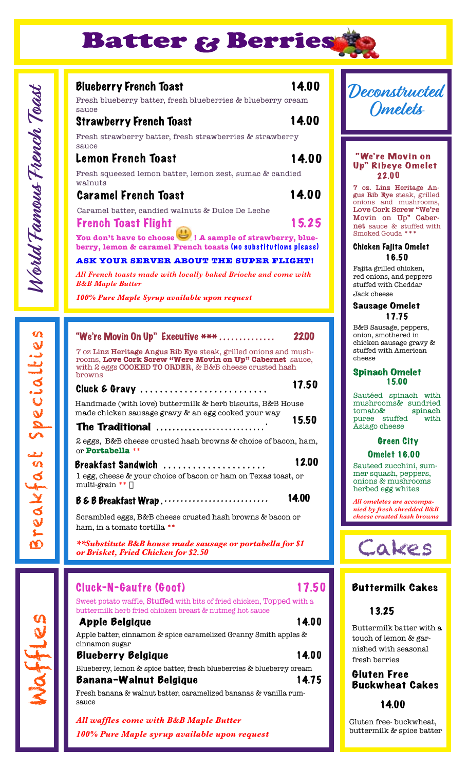

# World Famous French Toast **World Famous French Toast**

Waffles

Breakfa s t Spec ialt ie s

Breakfast Specialtie

 $\boldsymbol{\alpha}$ 

# Blueberry French Toast 14.00

15.25

Fresh blueberry batter, fresh blueberries & blueberry cream sauce

### Strawberry French Toast 14.00 Fresh strawberry batter, fresh strawberries & strawberry sauce

# Lemon French Toast 14.00

Fresh squeezed lemon batter, lemon zest, sumac & candied walnuts

# Caramel French Toast 14.00

Caramel batter, candied walnuts & Dulce De Leche

### **French Toast Flight**

You don't have to choose **I** A sample of strawberry, blueberry, lemon & caramel French toasts (no substitutions please)

### **ASK YOUR SERVER ABOUT THE SUPER FLIGHT!**

*All French toasts made with locally baked Brioche and come with B&B Maple Butter*

*100% Pure Maple Syrup available upon request* 

| "We're Movin On Up" Executive ***<br>2200                                                                                                                                                         |
|---------------------------------------------------------------------------------------------------------------------------------------------------------------------------------------------------|
| 7 oz Linz Heritage Angus Rib Eye steak, grilled onions and mush-<br>rooms, Love Cork Screw "Were Movin on Up" Cabernet sauce,<br>with 2 eggs COOKED TO ORDER, & B&B cheese crusted hash<br>browns |
| 17.50<br>Cluck & Gravy                                                                                                                                                                            |
| Handmade (with love) buttermilk & herb biscuits, B&B House<br>made chicken sausage gravy & an egg cooked your way                                                                                 |
| 15.50<br>The Traditional                                                                                                                                                                          |
| 2 eggs, B&B cheese crusted hash browns & choice of bacon, ham,<br>or <b>Portabella</b> **                                                                                                         |
| <b>12.00</b><br>Breakfast Sandwich<br>1 egg, cheese & your choice of bacon or ham on Texas toast, or<br>multi-grain **                                                                            |
| 14.00<br>B & B Breakfast Wrap                                                                                                                                                                     |
| Scrambled eggs, B&B cheese crusted hash browns & bacon or<br>ham, in a tomato tortilla **                                                                                                         |
| **Substitute B&B house made sausage or portabella for \$1<br>or Brisket, Fried Chicken for \$2.50                                                                                                 |

| Cluck-N-Gaufre (Goof)                                                                                                             | 17.50 | Bu         |
|-----------------------------------------------------------------------------------------------------------------------------------|-------|------------|
| Sweet potato waffle, Stuffed with bits of fried chicken, Topped with a<br>buttermilk herb fried chicken breast & nutmeg hot sauce |       |            |
| <b>Apple Belgique</b>                                                                                                             | 14.00 | But        |
| Apple batter, cinnamon & spice caramelized Granny Smith apples &<br>cinnamon sugar                                                |       | tou<br>nis |
| <b>Blueberry Belgique</b>                                                                                                         | 14.00 | fre:       |
| Blueberry, lemon & spice batter, fresh blueberries & blueberry cream<br>Banana-Walnut Belgique                                    | 14.75 | Gl<br>Bu   |
| Fresh banana & walnut batter, caramelized bananas & vanilla rum-<br>sauce                                                         |       |            |

*All waffles come with B&B Maple Butter 100% Pure Maple syrup available upon request*

# **Deconstructed Omelets**

### "We're Movin on Up" Ribeye Omelet 22.00

**7 oz. Linz Heritage Angus Rib Eye** steak, grilled onions and mushrooms, **Love Cork Screw "We're Movin on Up" Cabernet** sauce & stuffed with Smoked Gouda **\*\*\***

### Chicken Fajita Omelet 16.50

Fajita grilled chicken, red onions, and peppers stuffed with Cheddar Jack cheese

### Sausage Omelet 17.75

B&B Sausage, peppers, onion, smothered in chicken sausage gravy & stuffed with American cheese

### Spinach Omelet 15.00

Sautéed spinach with mushrooms& sundried<br>tomato& spinach tomato**& spinach** puree stuffed Asiago cheese

### Green City Omelet 16.00

Sauteed zucchini, summer squash, peppers, onions & mushrooms herbed egg whites

*All omeletes are accompanied by fresh shredded B&B cheese crusted hash browns*



# **THETMILK Cakes**

# 13.25

ttermilk batter with a touch of lemon & garhed with seasonal sh berries

## uten Free <sub>I</sub>ckwheat Cakes

### 14.00

Gluten free- buckwheat, buttermilk & spice batter